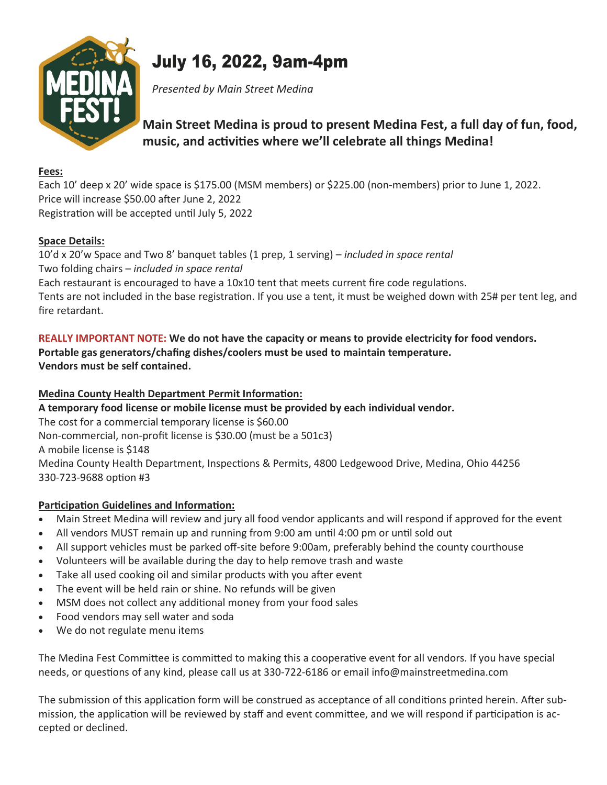

# July 16, 2022, 9am-4pm

Presented by Main Street Medina

# Main Street Medina is proud to present Medina Fest, a full day of fun, food, music, and activities where we'll celebrate all things Medina!

#### Fees:

Each 10' deep x 20' wide space is \$175.00 (MSM members) or \$225.00 (non-members) prior to June 1, 2022. Price will increase \$50.00 after June 2, 2022 Registration will be accepted until July 5, 2022

### Space Details:

10'd x 20'w Space and Two 8' banquet tables (1 prep, 1 serving) – included in space rental Two folding chairs – included in space rental Each restaurant is encouraged to have a 10x10 tent that meets current fire code regulations. Tents are not included in the base registration. If you use a tent, it must be weighed down with 25# per tent leg, and fire retardant.

#### REALLY IMPORTANT NOTE: We do not have the capacity or means to provide electricity for food vendors. Portable gas generators/chafing dishes/coolers must be used to maintain temperature. Vendors must be self contained.

### Medina County Health Department Permit Information:

A temporary food license or mobile license must be provided by each individual vendor.

The cost for a commercial temporary license is \$60.00

Non-commercial, non-profit license is \$30.00 (must be a 501c3)

A mobile license is \$148

Medina County Health Department, Inspections & Permits, 4800 Ledgewood Drive, Medina, Ohio 44256 330-723-9688 option #3

## Participation Guidelines and Information:

- · Main Street Medina will review and jury all food vendor applicants and will respond if approved for the event
- · All vendors MUST remain up and running from 9:00 am until 4:00 pm or until sold out
- · All support vehicles must be parked off-site before 9:00am, preferably behind the county courthouse
- · Volunteers will be available during the day to help remove trash and waste
- Take all used cooking oil and similar products with you after event
- · The event will be held rain or shine. No refunds will be given
- · MSM does not collect any additional money from your food sales
- Food vendors may sell water and soda
- · We do not regulate menu items

The Medina Fest Committee is committed to making this a cooperative event for all vendors. If you have special needs, or questions of any kind, please call us at 330-722-6186 or email info@mainstreetmedina.com

The submission of this application form will be construed as acceptance of all conditions printed herein. After submission, the application will be reviewed by staff and event committee, and we will respond if participation is accepted or declined.